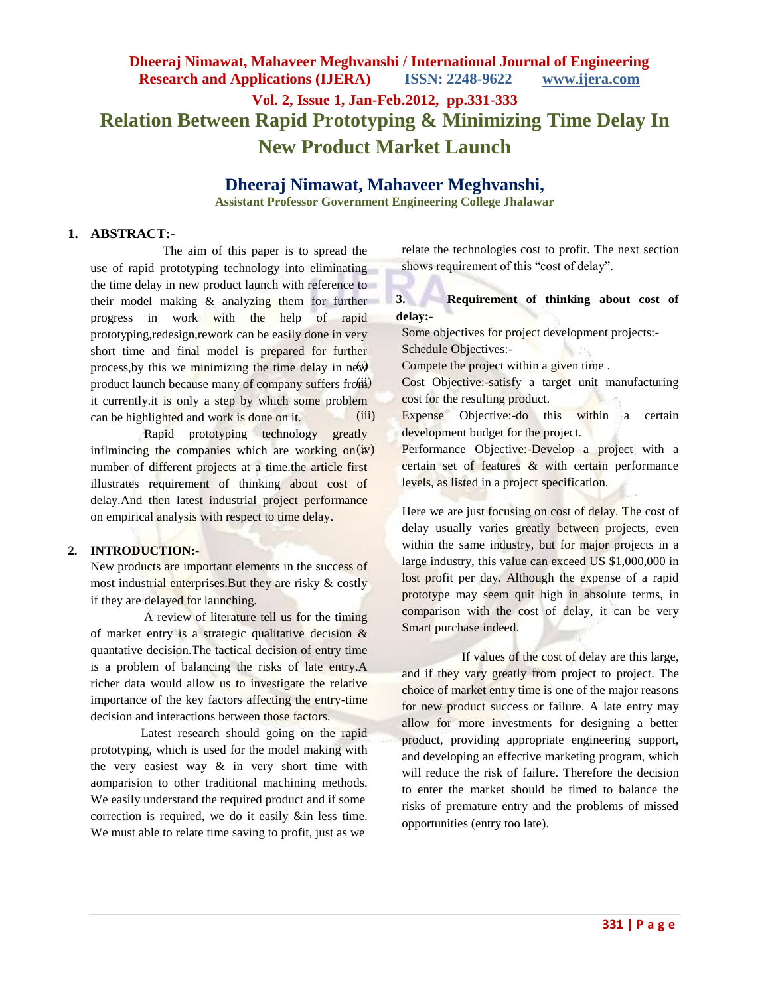# **Dheeraj Nimawat, Mahaveer Meghvanshi / International Journal of Engineering Research and Applications (IJERA) ISSN: 2248-9622 www.ijera.com**

# **Vol. 2, Issue 1, Jan-Feb.2012, pp.331-333 Relation Between Rapid Prototyping & Minimizing Time Delay In New Product Market Launch**

## **Dheeraj Nimawat, Mahaveer Meghvanshi,**

**Assistant Professor Government Engineering College Jhalawar**

#### **1. ABSTRACT:-**

 The aim of this paper is to spread the use of rapid prototyping technology into eliminating the time delay in new product launch with reference to their model making & analyzing them for further progress in work with the help of rapid prototyping,redesign,rework can be easily done in very short time and final model is prepared for further process, by this we minimizing the time delay in  $ne^{i}$ product launch because many of company suffers from it currently.it is only a step by which some problem can be highlighted and work is done on it.

 Rapid prototyping technology greatly inflmincing the companies which are working on  $(w)$ number of different projects at a time.the article first illustrates requirement of thinking about cost of delay.And then latest industrial project performance on empirical analysis with respect to time delay.

#### **2. INTRODUCTION:-**

New products are important elements in the success of most industrial enterprises.But they are risky & costly if they are delayed for launching.

 A review of literature tell us for the timing of market entry is a strategic qualitative decision & quantative decision.The tactical decision of entry time is a problem of balancing the risks of late entry.A richer data would allow us to investigate the relative importance of the key factors affecting the entry-time decision and interactions between those factors.

 Latest research should going on the rapid prototyping, which is used for the model making with the very easiest way & in very short time with aomparision to other traditional machining methods. We easily understand the required product and if some correction is required, we do it easily &in less time. We must able to relate time saving to profit, just as we

relate the technologies cost to profit. The next section shows requirement of this "cost of delay".

### **3. Requirement of thinking about cost of delay:-**

Some objectives for project development projects:- Schedule Objectives:-

Compete the project within a given time .

Cost Objective:-satisfy a target unit manufacturing cost for the resulting product.

(iii) Expense Objective:-do this within a certain development budget for the project.

> Performance Objective:-Develop a project with a certain set of features & with certain performance levels, as listed in a project specification.

> Here we are just focusing on cost of delay. The cost of delay usually varies greatly between projects, even within the same industry, but for major projects in a large industry, this value can exceed US \$1,000,000 in lost profit per day. Although the expense of a rapid prototype may seem quit high in absolute terms, in comparison with the cost of delay, it can be very Smart purchase indeed.

> If values of the cost of delay are this large, and if they vary greatly from project to project. The choice of market entry time is one of the major reasons for new product success or failure. A late entry may allow for more investments for designing a better product, providing appropriate engineering support, and developing an effective marketing program, which will reduce the risk of failure. Therefore the decision to enter the market should be timed to balance the risks of premature entry and the problems of missed opportunities (entry too late).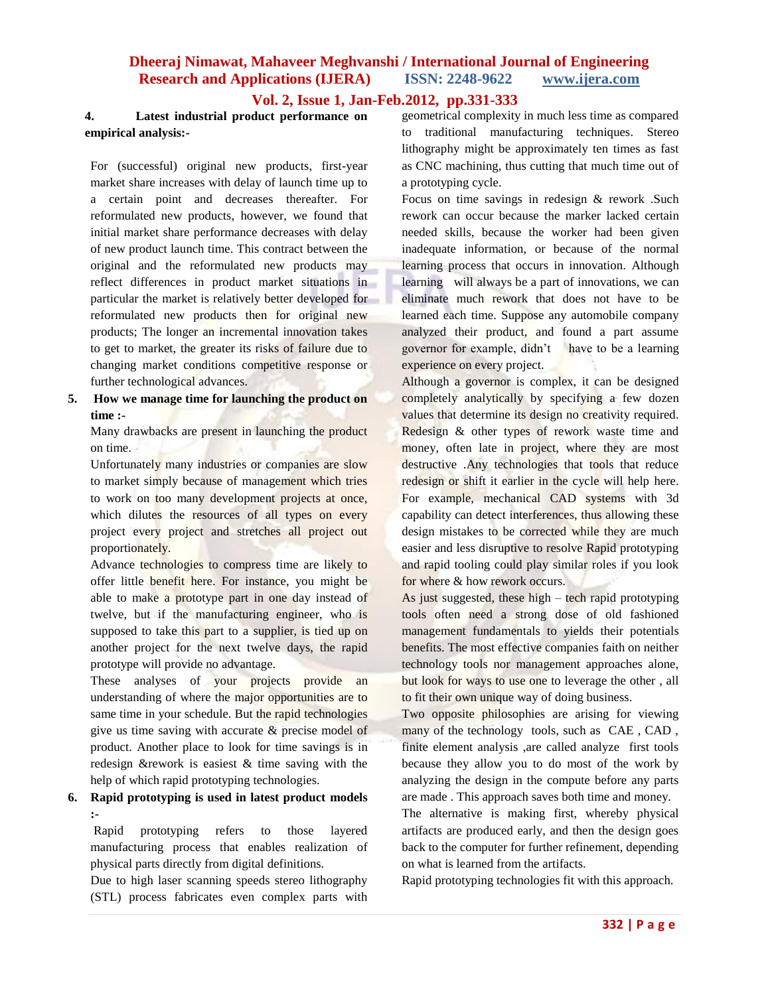## **Dheeraj Nimawat, Mahaveer Meghvanshi / International Journal of Engineering Research and Applications (IJERA) ISSN: 2248-9622 www.ijera.com**

#### **Vol. 2, Issue 1, Jan-Feb.2012, pp.331-333**

#### **4. Latest industrial product performance on empirical analysis:-**

For (successful) original new products, first-year market share increases with delay of launch time up to a certain point and decreases thereafter. For reformulated new products, however, we found that initial market share performance decreases with delay of new product launch time. This contract between the original and the reformulated new products may reflect differences in product market situations in particular the market is relatively better developed for reformulated new products then for original new products; The longer an incremental innovation takes to get to market, the greater its risks of failure due to changing market conditions competitive response or further technological advances.

#### **5. How we manage time for launching the product on time :-**

Many drawbacks are present in launching the product on time.

Unfortunately many industries or companies are slow to market simply because of management which tries to work on too many development projects at once, which dilutes the resources of all types on every project every project and stretches all project out proportionately.

Advance technologies to compress time are likely to offer little benefit here. For instance, you might be able to make a prototype part in one day instead of twelve, but if the manufacturing engineer, who is supposed to take this part to a supplier, is tied up on another project for the next twelve days, the rapid prototype will provide no advantage.

These analyses of your projects provide an understanding of where the major opportunities are to same time in your schedule. But the rapid technologies give us time saving with accurate & precise model of product. Another place to look for time savings is in redesign &rework is easiest & time saving with the help of which rapid prototyping technologies.

#### **6. Rapid prototyping is used in latest product models :-**

Rapid prototyping refers to those layered manufacturing process that enables realization of physical parts directly from digital definitions.

Due to high laser scanning speeds stereo lithography (STL) process fabricates even complex parts with

geometrical complexity in much less time as compared to traditional manufacturing techniques. Stereo lithography might be approximately ten times as fast as CNC machining, thus cutting that much time out of a prototyping cycle.

Focus on time savings in redesign & rework .Such rework can occur because the marker lacked certain needed skills, because the worker had been given inadequate information, or because of the normal learning process that occurs in innovation. Although learning will always be a part of innovations, we can eliminate much rework that does not have to be learned each time. Suppose any automobile company analyzed their product, and found a part assume governor for example, didn't have to be a learning experience on every project.

Although a governor is complex, it can be designed completely analytically by specifying a few dozen values that determine its design no creativity required. Redesign & other types of rework waste time and money, often late in project, where they are most destructive .Any technologies that tools that reduce redesign or shift it earlier in the cycle will help here. For example, mechanical CAD systems with 3d capability can detect interferences, thus allowing these design mistakes to be corrected while they are much easier and less disruptive to resolve Rapid prototyping and rapid tooling could play similar roles if you look for where & how rework occurs.

As just suggested, these high – tech rapid prototyping tools often need a strong dose of old fashioned management fundamentals to yields their potentials benefits. The most effective companies faith on neither technology tools nor management approaches alone, but look for ways to use one to leverage the other , all to fit their own unique way of doing business.

Two opposite philosophies are arising for viewing many of the technology tools, such as CAE, CAD, finite element analysis ,are called analyze first tools because they allow you to do most of the work by analyzing the design in the compute before any parts are made . This approach saves both time and money.

The alternative is making first, whereby physical artifacts are produced early, and then the design goes back to the computer for further refinement, depending on what is learned from the artifacts.

Rapid prototyping technologies fit with this approach.